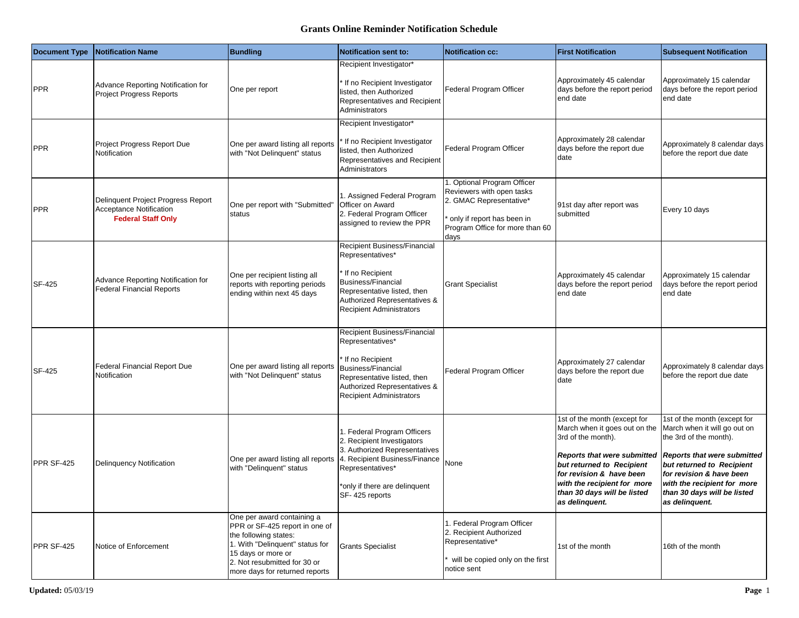## **Grants Online Reminder Notification Schedule**

| <b>Document Type</b> | <b>Notification Name</b>                                                                          | <b>Bundling</b>                                                                                                                                                                                                  | <b>Notification sent to:</b>                                                                                                                                                                       | <b>Notification cc:</b>                                                                                                                                      | <b>First Notification</b>                                                                                                                                                                                                                                   | <b>Subsequent Notification</b>                                                                                                                                                                                                                                        |
|----------------------|---------------------------------------------------------------------------------------------------|------------------------------------------------------------------------------------------------------------------------------------------------------------------------------------------------------------------|----------------------------------------------------------------------------------------------------------------------------------------------------------------------------------------------------|--------------------------------------------------------------------------------------------------------------------------------------------------------------|-------------------------------------------------------------------------------------------------------------------------------------------------------------------------------------------------------------------------------------------------------------|-----------------------------------------------------------------------------------------------------------------------------------------------------------------------------------------------------------------------------------------------------------------------|
| <b>PPR</b>           | Advance Reporting Notification for<br><b>Project Progress Reports</b>                             | One per report                                                                                                                                                                                                   | Recipient Investigator*<br>If no Recipient Investigator<br>listed, then Authorized<br>Representatives and Recipient<br>Administrators                                                              | Federal Program Officer                                                                                                                                      | Approximately 45 calendar<br>days before the report period<br>end date                                                                                                                                                                                      | Approximately 15 calendar<br>days before the report period<br>end date                                                                                                                                                                                                |
| <b>PPR</b>           | Project Progress Report Due<br>Notification                                                       | One per award listing all reports<br>with "Not Delinquent" status                                                                                                                                                | Recipient Investigator*<br>If no Recipient Investigator<br>isted, then Authorized<br>Representatives and Recipient<br>Administrators                                                               | Federal Program Officer                                                                                                                                      | Approximately 28 calendar<br>days before the report due<br>date                                                                                                                                                                                             | Approximately 8 calendar days<br>before the report due date                                                                                                                                                                                                           |
| <b>PPR</b>           | Delinquent Project Progress Report<br><b>Acceptance Notification</b><br><b>Federal Staff Only</b> | One per report with "Submitted"<br>status                                                                                                                                                                        | I. Assigned Federal Program<br>Officer on Award<br>2. Federal Program Officer<br>assigned to review the PPR                                                                                        | 1. Optional Program Officer<br>Reviewers with open tasks<br>2. GMAC Representative*<br>only if report has been in<br>Program Office for more than 60<br>days | 91st day after report was<br>submitted                                                                                                                                                                                                                      | Every 10 days                                                                                                                                                                                                                                                         |
| SF-425               | Advance Reporting Notification for<br><b>Federal Financial Reports</b>                            | One per recipient listing all<br>reports with reporting periods<br>ending within next 45 days                                                                                                                    | Recipient Business/Financial<br>Representatives*<br>If no Recipient<br><b>Business/Financial</b><br>Representative listed, then<br>Authorized Representatives &<br><b>Recipient Administrators</b> | <b>Grant Specialist</b>                                                                                                                                      | Approximately 45 calendar<br>days before the report period<br>end date                                                                                                                                                                                      | Approximately 15 calendar<br>days before the report period<br>end date                                                                                                                                                                                                |
| SF-425               | <b>Federal Financial Report Due</b><br>Notification                                               | One per award listing all reports<br>with "Not Delinquent" status                                                                                                                                                | Recipient Business/Financial<br>Representatives*<br>If no Recipient<br><b>Business/Financial</b><br>Representative listed, then<br>Authorized Representatives &<br><b>Recipient Administrators</b> | Federal Program Officer                                                                                                                                      | Approximately 27 calendar<br>days before the report due<br>date                                                                                                                                                                                             | Approximately 8 calendar days<br>before the report due date                                                                                                                                                                                                           |
| PPR SF-425           | Delinquency Notification                                                                          | One per award listing all reports<br>with "Delinquent" status                                                                                                                                                    | 1. Federal Program Officers<br>2. Recipient Investigators<br>3. Authorized Representatives<br>4. Recipient Business/Finance<br>Representatives*<br>only if there are delinquent*<br>SF-425 reports | None                                                                                                                                                         | 1st of the month (except for<br>March when it goes out on the<br>3rd of the month).<br>Reports that were submitted<br>but returned to Recipient<br>for revision & have been<br>with the recipient for more<br>than 30 days will be listed<br>as delinquent. | 1st of the month (except for<br>March when it will go out on<br>the 3rd of the month).<br><b>Reports that were submitted</b><br>but returned to Recipient<br>for revision & have been<br>with the recipient for more<br>than 30 days will be listed<br>as delinquent. |
| PPR SF-425           | Notice of Enforcement                                                                             | One per award containing a<br>PPR or SF-425 report in one of<br>the following states:<br>1. With "Delinquent" status for<br>15 days or more or<br>2. Not resubmitted for 30 or<br>more days for returned reports | <b>Grants Specialist</b>                                                                                                                                                                           | 1. Federal Program Officer<br>2. Recipient Authorized<br>Representative*<br>will be copied only on the first<br>notice sent                                  | 1st of the month                                                                                                                                                                                                                                            | 16th of the month                                                                                                                                                                                                                                                     |